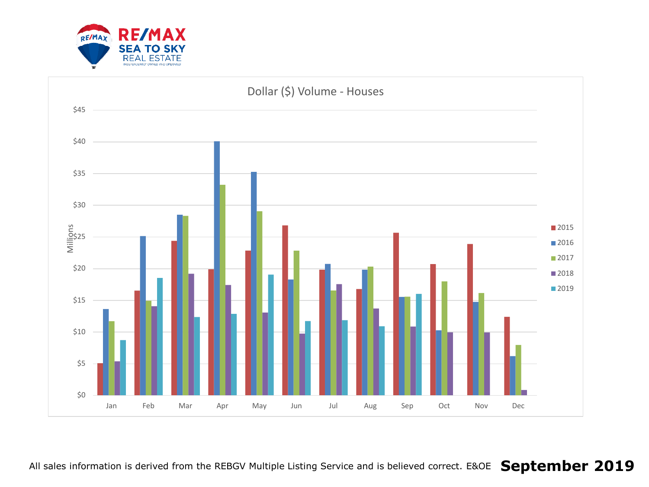

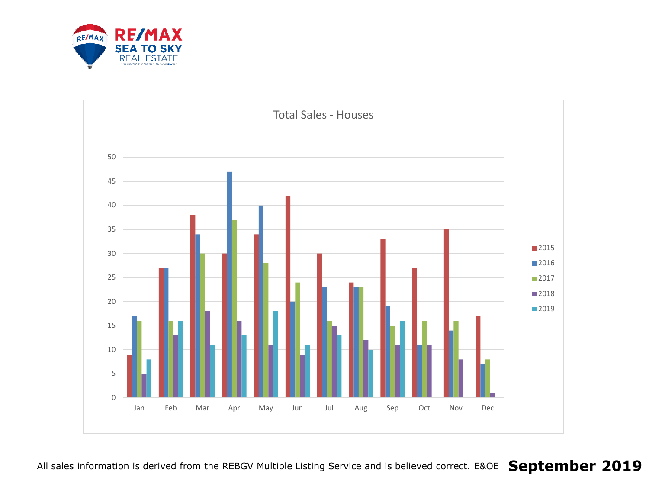

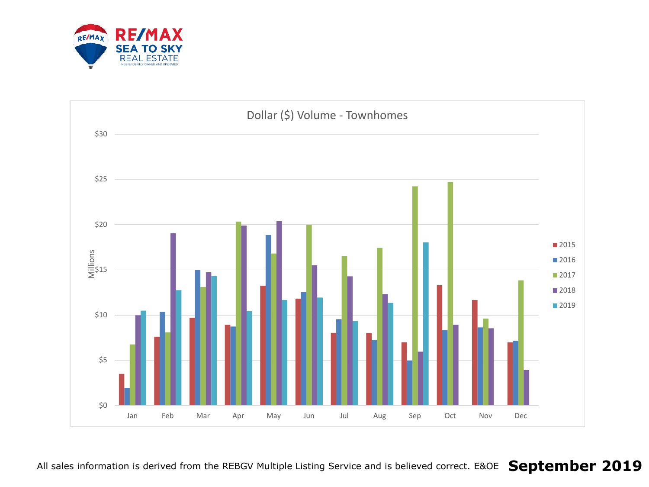

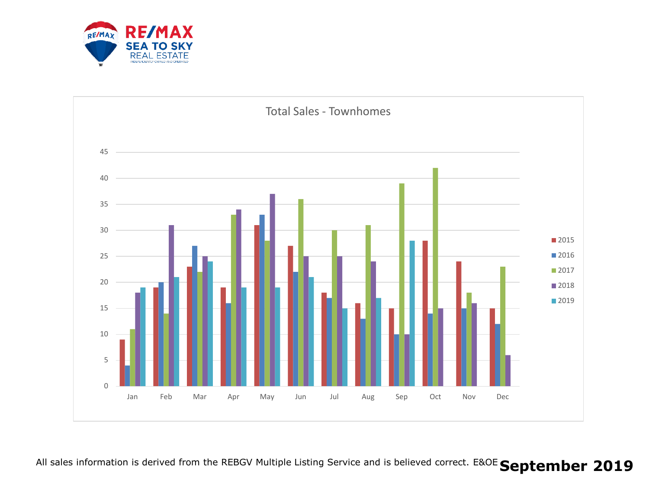

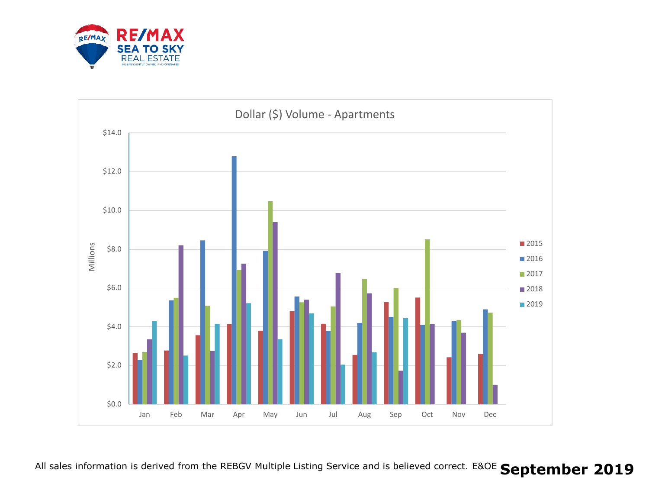

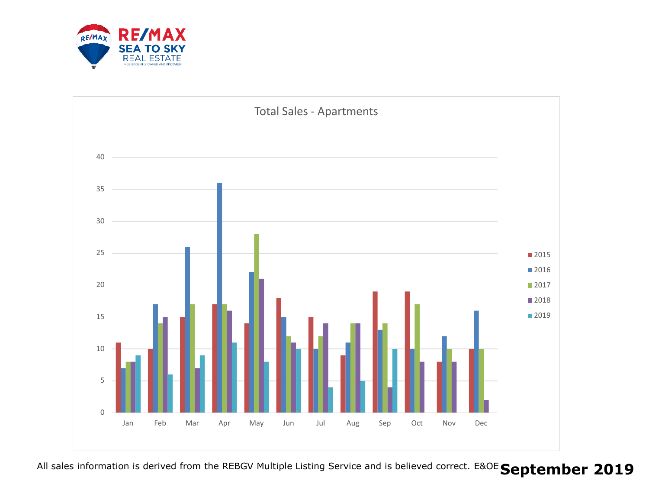

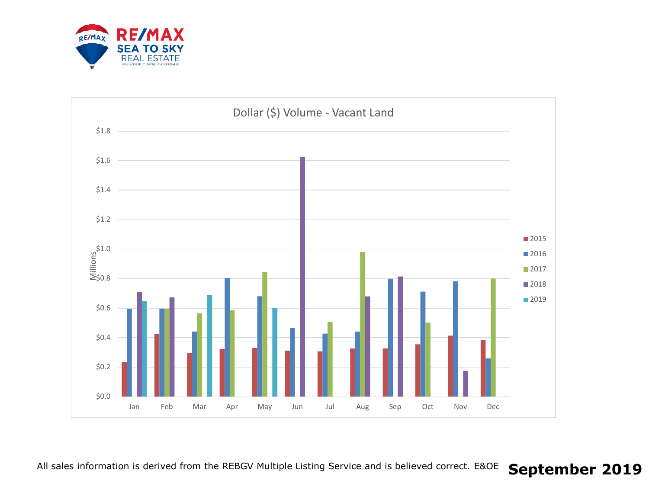

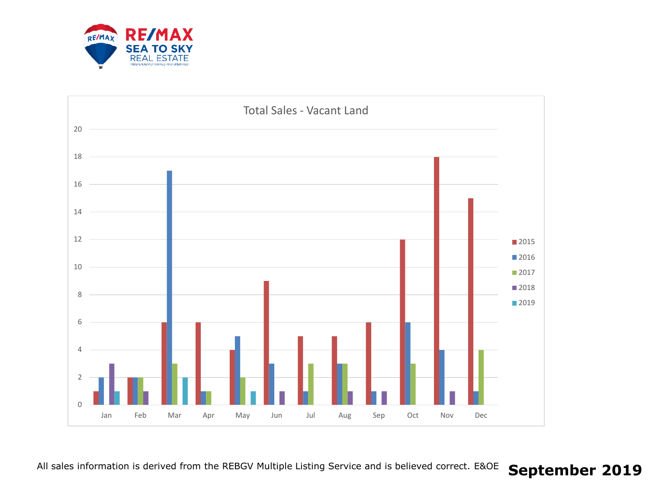

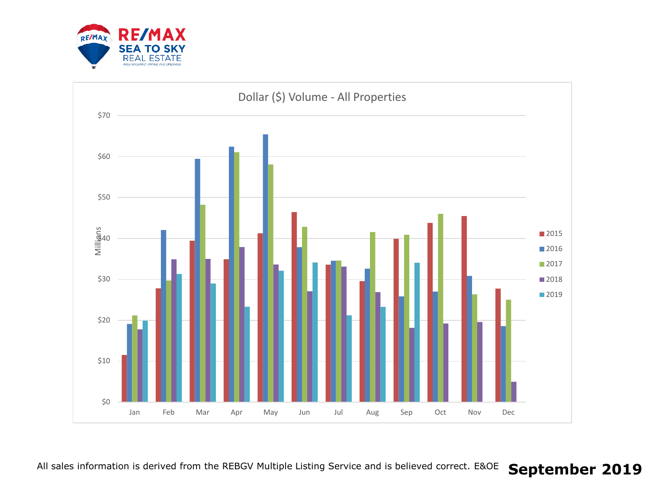

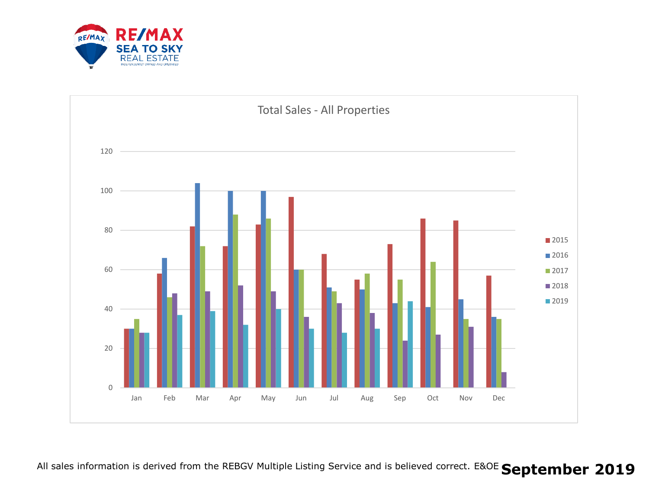

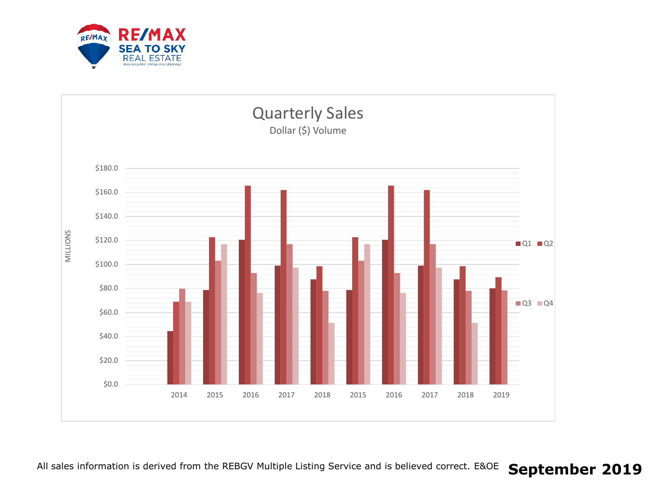